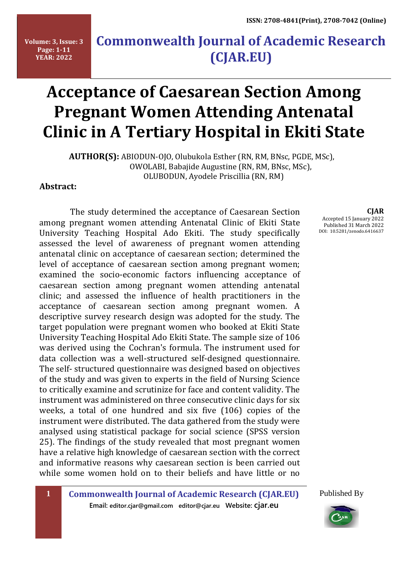**Volume: 3, Issue: 3 Page: 1-11 YEAR: 2022**

# **Commonwealth Journal of Academic Research (CJAR.EU)**

# **Acceptance of Caesarean Section Among Pregnant Women Attending Antenatal Clinic in A Tertiary Hospital in Ekiti State**

 **AUTHOR(S):** ABIODUN-OJO, Olubukola Esther (RN, RM, BNsc, PGDE, MSc), OWOLABI, Babajide Augustine (RN, RM, BNsc, MSc), OLUBODUN, Ayodele Priscillia (RN, RM)

**Abstract:**

 The study determined the acceptance of Caesarean Section among pregnant women attending Antenatal Clinic of Ekiti State University Teaching Hospital Ado Ekiti. The study specifically assessed the level of awareness of pregnant women attending antenatal clinic on acceptance of caesarean section; determined the level of acceptance of caesarean section among pregnant women; examined the socio-economic factors influencing acceptance of caesarean section among pregnant women attending antenatal clinic; and assessed the influence of health practitioners in the acceptance of caesarean section among pregnant women. A descriptive survey research design was adopted for the study. The target population were pregnant women who booked at Ekiti State University Teaching Hospital Ado Ekiti State. The sample size of 106 was derived using the Cochran's formula. The instrument used for data collection was a well-structured self-designed questionnaire. The self- structured questionnaire was designed based on objectives of the study and was given to experts in the field of Nursing Science to critically examine and scrutinize for face and content validity. The instrument was administered on three consecutive clinic days for six weeks, a total of one hundred and six five (106) copies of the instrument were distributed. The data gathered from the study were analysed using statistical package for social science (SPSS version 25). The findings of the study revealed that most pregnant women have a relative high knowledge of caesarean section with the correct and informative reasons why caesarean section is been carried out while some women hold on to their beliefs and have little or no

**CJAR** Accepted 15 January 2022 Published 31 March 2022 DOI: 10.5281/zenodo.6416637

Published By



**1 Commonwealth Journal of Academic Research (CJAR.EU) Email: editor.cjar@gmail.com editor@cjar.eu Website: cjar.eu**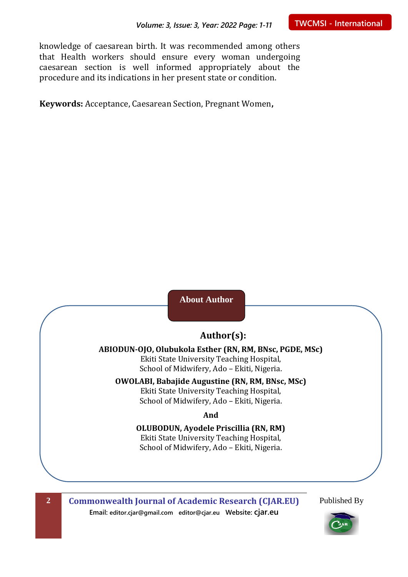knowledge of caesarean birth. It was recommended among others that Health workers should ensure every woman undergoing caesarean section is well informed appropriately about the procedure and its indications in her present state or condition.

**Keywords:** Acceptance, Caesarean Section, Pregnant Women**,**

## **About Author**

### **Author(s):**

#### **ABIODUN-OJO, Olubukola Esther (RN, RM, BNsc, PGDE, MSc)** Ekiti State University Teaching Hospital, School of Midwifery, Ado – Ekiti, Nigeria.

# **OWOLABI, Babajide Augustine (RN, RM, BNsc, MSc)**

Ekiti State University Teaching Hospital, School of Midwifery, Ado – Ekiti, Nigeria.

**And**

**OLUBODUN, Ayodele Priscillia (RN, RM)** Ekiti State University Teaching Hospital, School of Midwifery, Ado – Ekiti, Nigeria.

**2 Commonwealth Journal of Academic Research (CJAR.EU) Email: editor.cjar@gmail.com editor@cjar.eu Website: cjar.eu**

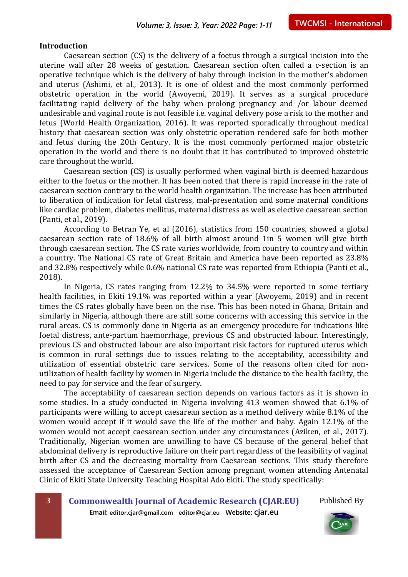#### **Introduction**

Caesarean section (CS) is the delivery of a foetus through a surgical incision into the uterine wall after 28 weeks of gestation. Caesarean section often called a c-section is an operative technique which is the delivery of baby through incision in the mother's abdomen and uterus (Ashimi, et al., 2013). It is one of oldest and the most commonly performed obstetric operation in the world (Awoyemi, 2019). It serves as a surgical procedure facilitating rapid delivery of the baby when prolong pregnancy and /or labour deemed undesirable and vaginal route is not feasible i.e. vaginal delivery pose a risk to the mother and fetus (World Health Organization, 2016). It was reported sporadically throughout medical history that caesarean section was only obstetric operation rendered safe for both mother and fetus during the 20th Century. It is the most commonly performed major obstetric operation in the world and there is no doubt that it has contributed to improved obstetric care throughout the world.

Caesarean section (CS) is usually performed when vaginal birth is deemed hazardous either to the foetus or the mother. It has been noted that there is rapid increase in the rate of caesarean section contrary to the world health organization. The increase has been attributed to liberation of indication for fetal distress, mal-presentation and some maternal conditions like cardiac problem, diabetes mellitus, maternal distress as well as elective caesarean section (Panti, et al., 2019).

According to Betran Ye, et al (2016), statistics from 150 countries, showed a global caesarean section rate of 18.6% of all birth almost around 1in 5 women will give birth through caesarean section. The CS rate varies worldwide, from country to country and within a country. The National CS rate of Great Britain and America have been reported as 23.8% and 32.8% respectively while 0.6% national CS rate was reported from Ethiopia (Panti et al., 2018).

In Nigeria, CS rates ranging from 12.2% to 34.5% were reported in some tertiary health facilities, in Ekiti 19.1% was reported within a year (Awoyemi, 2019) and in recent times the CS rates globally have been on the rise. This has been noted in Ghana, Britain and similarly in Nigeria, although there are still some concerns with accessing this service in the rural areas. CS is commonly done in Nigeria as an emergency procedure for indications like foetal distress, ante-partum haemorrhage, previous CS and obstructed labour. Interestingly, previous CS and obstructed labour are also important risk factors for ruptured uterus which is common in rural settings due to issues relating to the acceptability, accessibility and utilization of essential obstetric care services. Some of the reasons often cited for nonutilization of health facility by women in Nigeria include the distance to the health facility, the need to pay for service and the fear of surgery.

The acceptability of caesarean section depends on various factors as it is shown in some studies. In a study conducted in Nigeria involving 413 women showed that 6.1% of participants were willing to accept caesarean section as a method delivery while 8.1% of the women would accept if it would save the life of the mother and baby. Again 12.1% of the women would not accept caesarean section under any circumstances (Aziken, et al., 2017). Traditionally, Nigerian women are unwilling to have CS because of the general belief that abdominal delivery is reproductive failure on their part regardless of the feasibility of vaginal birth after CS and the decreasing mortality from Caesarean sections. This study therefore assessed the acceptance of Caesarean Section among pregnant women attending Antenatal Clinic of Ekiti State University Teaching Hospital Ado Ekiti. The study specifically:

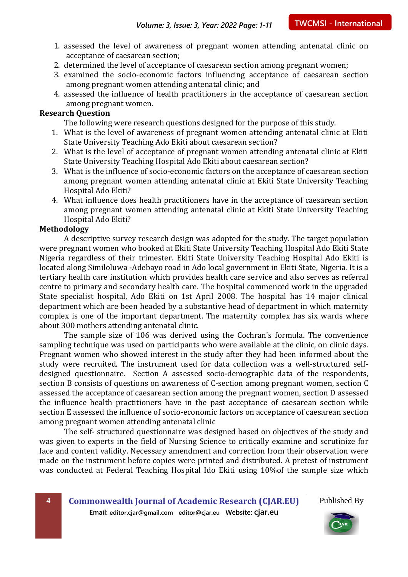- 1. assessed the level of awareness of pregnant women attending antenatal clinic on acceptance of caesarean section;
- 2. determined the level of acceptance of caesarean section among pregnant women;
- 3. examined the socio-economic factors influencing acceptance of caesarean section among pregnant women attending antenatal clinic; and
- 4. assessed the influence of health practitioners in the acceptance of caesarean section among pregnant women.

#### **Research Question**

The following were research questions designed for the purpose of this study.

- 1. What is the level of awareness of pregnant women attending antenatal clinic at Ekiti State University Teaching Ado Ekiti about caesarean section?
- 2. What is the level of acceptance of pregnant women attending antenatal clinic at Ekiti State University Teaching Hospital Ado Ekiti about caesarean section?
- 3. What is the influence of socio-economic factors on the acceptance of caesarean section among pregnant women attending antenatal clinic at Ekiti State University Teaching Hospital Ado Ekiti?
- 4. What influence does health practitioners have in the acceptance of caesarean section among pregnant women attending antenatal clinic at Ekiti State University Teaching Hospital Ado Ekiti?

#### **Methodology**

A descriptive survey research design was adopted for the study. The target population were pregnant women who booked at Ekiti State University Teaching Hospital Ado Ekiti State Nigeria regardless of their trimester. Ekiti State University Teaching Hospital Ado Ekiti is located along Similoluwa -Adebayo road in Ado local government in Ekiti State, Nigeria. It is a tertiary health care institution which provides health care service and also serves as referral centre to primary and secondary health care. The hospital commenced work in the upgraded State specialist hospital, Ado Ekiti on 1st April 2008. The hospital has 14 major clinical department which are been headed by a substantive head of department in which maternity complex is one of the important department. The maternity complex has six wards where about 300 mothers attending antenatal clinic.

The sample size of 106 was derived using the Cochran's formula. The convenience sampling technique was used on participants who were available at the clinic, on clinic days. Pregnant women who showed interest in the study after they had been informed about the study were recruited. The instrument used for data collection was a well-structured selfdesigned questionnaire. Section A assessed socio-demographic data of the respondents, section B consists of questions on awareness of C-section among pregnant women, section C assessed the acceptance of caesarean section among the pregnant women, section D assessed the influence health practitioners have in the past acceptance of caesarean section while section E assessed the influence of socio-economic factors on acceptance of caesarean section among pregnant women attending antenatal clinic

The self- structured questionnaire was designed based on objectives of the study and was given to experts in the field of Nursing Science to critically examine and scrutinize for face and content validity. Necessary amendment and correction from their observation were made on the instrument before copies were printed and distributed. A pretest of instrument was conducted at Federal Teaching Hospital Ido Ekiti using 10%of the sample size which

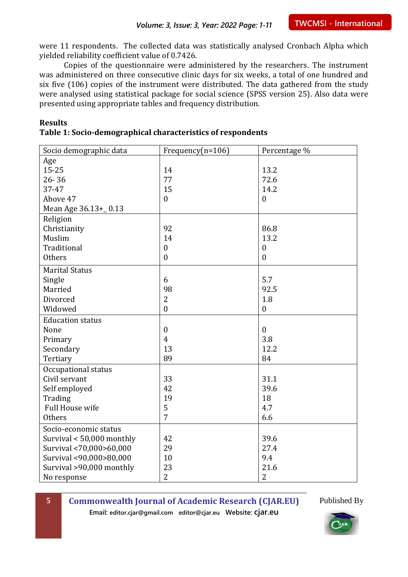were 11 respondents. The collected data was statistically analysed Cronbach Alpha which yielded reliability coefficient value of 0.7426.

Copies of the questionnaire were administered by the researchers. The instrument was administered on three consecutive clinic days for six weeks, a total of one hundred and six five (106) copies of the instrument were distributed. The data gathered from the study were analysed using statistical package for social science (SPSS version 25). Also data were presented using appropriate tables and frequency distribution.

#### **Results Table 1: Socio-demographical characteristics of respondents**

| Socio demographic data    | Frequency(n=106) | Percentage %     |
|---------------------------|------------------|------------------|
| Age                       |                  |                  |
| $15 - 25$                 | 14               | 13.2             |
| $26 - 36$                 | 77               | 72.6             |
| 37-47                     | 15               | 14.2             |
| Above 47                  | $\mathbf{0}$     | $\overline{0}$   |
| Mean Age 36.13+_0.13      |                  |                  |
| Religion                  |                  |                  |
| Christianity              | 92               | 86.8             |
| Muslim                    | 14               | 13.2             |
| Traditional               | $\mathbf{0}$     | $\boldsymbol{0}$ |
| Others                    | $\boldsymbol{0}$ | $\boldsymbol{0}$ |
| <b>Marital Status</b>     |                  |                  |
| Single                    | 6                | 5.7              |
| Married                   | 98               | 92.5             |
| Divorced                  | $\overline{2}$   | 1.8              |
| Widowed                   | $\mathbf{0}$     | $\boldsymbol{0}$ |
| <b>Education status</b>   |                  |                  |
| None                      | $\boldsymbol{0}$ | $\boldsymbol{0}$ |
| Primary                   | $\overline{4}$   | 3.8              |
| Secondary                 | 13               | 12.2             |
| Tertiary                  | 89               | 84               |
| Occupational status       |                  |                  |
| Civil servant             | 33               | 31.1             |
| Self employed             | 42               | 39.6             |
| Trading                   | 19               | 18               |
| Full House wife           | 5                | 4.7              |
| <b>Others</b>             | 7                | 6.6              |
| Socio-economic status     |                  |                  |
| Survival < 50,000 monthly | 42               | 39.6             |
| Survival <70,000>60,000   | 29               | 27.4             |
| Survival <90,000>80,000   | 10               | 9.4              |
| Survival >90,000 monthly  | 23               | 21.6             |
| No response               | $\overline{2}$   | $\overline{2}$   |

**5 Commonwealth Journal of Academic Research (CJAR.EU)**

Published By

**Email: editor.cjar@gmail.com editor@cjar.eu Website: cjar.eu**

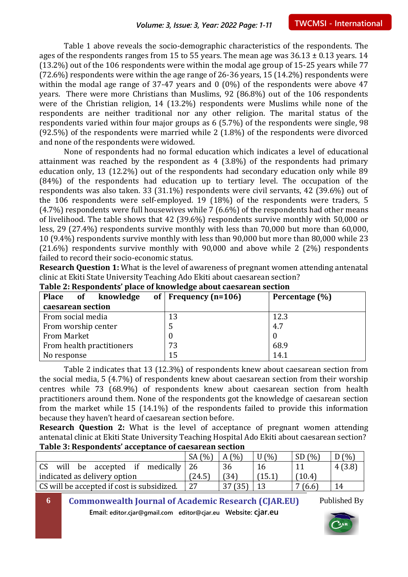Table 1 above reveals the socio-demographic characteristics of the respondents. The ages of the respondents ranges from 15 to 55 years. The mean age was  $36.13 \pm 0.13$  years. 14 (13.2%) out of the 106 respondents were within the modal age group of 15-25 years while 77 (72.6%) respondents were within the age range of 26-36 years, 15 (14.2%) respondents were within the modal age range of 37-47 years and 0 (0%) of the respondents were above 47 years. There were more Christians than Muslims, 92 (86.8%) out of the 106 respondents were of the Christian religion, 14 (13.2%) respondents were Muslims while none of the respondents are neither traditional nor any other religion. The marital status of the respondents varied within four major groups as 6 (5.7%) of the respondents were single, 98 (92.5%) of the respondents were married while 2 (1.8%) of the respondents were divorced and none of the respondents were widowed.

None of respondents had no formal education which indicates a level of educational attainment was reached by the respondent as 4 (3.8%) of the respondents had primary education only, 13 (12.2%) out of the respondents had secondary education only while 89 (84%) of the respondents had education up to tertiary level. The occupation of the respondents was also taken. 33 (31.1%) respondents were civil servants, 42 (39.6%) out of the 106 respondents were self-employed. 19 (18%) of the respondents were traders, 5 (4.7%) respondents were full housewives while 7 (6.6%) of the respondents had other means of livelihood. The table shows that 42 (39.6%) respondents survive monthly with 50,000 or less, 29 (27.4%) respondents survive monthly with less than 70,000 but more than 60,000, 10 (9.4%) respondents survive monthly with less than 90,000 but more than 80,000 while 23 (21.6%) respondents survive monthly with 90,000 and above while 2 (2%) respondents failed to record their socio-economic status.

**Research Question 1:** What is the level of awareness of pregnant women attending antenatal clinic at Ekiti State University Teaching Ado Ekiti about caesarean section?

| Place of knowledge        | of   Frequency $(n=106)$ | Percentage (%) |  |  |
|---------------------------|--------------------------|----------------|--|--|
| caesarean section         |                          |                |  |  |
| From social media         | 13                       | 12.3           |  |  |
| From worship center       |                          | 4.7            |  |  |
| <b>From Market</b>        |                          |                |  |  |
| From health practitioners | 73                       | 68.9           |  |  |
| No response               | 15                       | 14.1           |  |  |

**Table 2: Respondents' place of knowledge about caesarean section**

Table 2 indicates that 13 (12.3%) of respondents knew about caesarean section from the social media, 5 (4.7%) of respondents knew about caesarean section from their worship centres while 73 (68.9%) of respondents knew about caesarean section from health practitioners around them. None of the respondents got the knowledge of caesarean section from the market while 15 (14.1%) of the respondents failed to provide this information because they haven't heard of caesarean section before.

**Research Question 2:** What is the level of acceptance of pregnant women attending antenatal clinic at Ekiti State University Teaching Hospital Ado Ekiti about caesarean section? **Table 3: Respondents' acceptance of caesarean section**

|                                            | (% )<br>SA | (% )<br>A | (% ) | $(%^{(0)})(\cdot)\times((\cdot)^{(0)})(\cdot)\times((\cdot)^{(0)})(\cdot)\times((\cdot)^{(0)})(\cdot)\times((\cdot)^{(0)})(\cdot)\times((\cdot)^{(0)})(\cdot)\times((\cdot)^{(0)})(\cdot)\times((\cdot)^{(0)})(\cdot)\times((\cdot)^{(0)})(\cdot)\times((\cdot)^{(0)})(\cdot)\times((\cdot)^{(0)})(\cdot)\times((\cdot)^{(0)})(\cdot)\times((\cdot)^{(0)})(\cdot)\times((\cdot)^{(0)})(\cdot)\times((\cdot)^{(0)})(\cdot)\times((\cdot)^{(0)})(\cdot)\times((\cdot)^{(0)})(\cdot)\times(($<br><b>SD</b> | (% )   |
|--------------------------------------------|------------|-----------|------|---------------------------------------------------------------------------------------------------------------------------------------------------------------------------------------------------------------------------------------------------------------------------------------------------------------------------------------------------------------------------------------------------------------------------------------------------------------------------------------------------------|--------|
| be accepted if medically<br>CS.<br>will    | -26        | 36        | 16   |                                                                                                                                                                                                                                                                                                                                                                                                                                                                                                         | 4(3.8) |
| indicated as delivery option               | (24.5)     | (34)      | 15.1 | $\hat{ }$ 10.4 $\hat{ }$                                                                                                                                                                                                                                                                                                                                                                                                                                                                                |        |
| CS will be accepted if cost is subsidized. | 27         |           |      | (6.6)                                                                                                                                                                                                                                                                                                                                                                                                                                                                                                   | 14     |

**6 Commonwealth Journal of Academic Research (CJAR.EU)** Published By

**Email: editor.cjar@gmail.com editor@cjar.eu Website: cjar.eu**

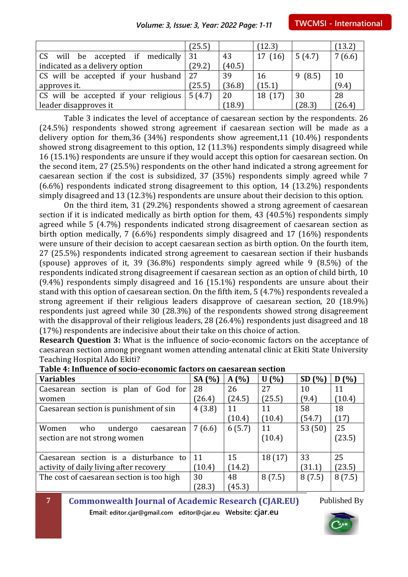|                                                            | (25.5) |        | (12.3)  |        | (13.2) |
|------------------------------------------------------------|--------|--------|---------|--------|--------|
| CS will be accepted if medically $ 31 $                    |        | 43     | 17(16)  | 5(4.7) | 7(6.6) |
| indicated as a delivery option                             | (29.2) | (40.5) |         |        |        |
| CS will be accepted if your husband                        | -27    | 39     | 16      | 9(8.5) | 10     |
| approves it.                                               | (25.5) | (36.8) | (15.1)  |        | (9.4)  |
| CS will be accepted if your religious $\vert 5(4.7) \vert$ |        | 20     | 18 (17) | 30     | 28     |
| leader disapproves it                                      |        | (18.9) |         | (28.3) | (26.4) |

Table 3 indicates the level of acceptance of caesarean section by the respondents. 26 (24.5%) respondents showed strong agreement if caesarean section will be made as a delivery option for them,36 (34%) respondents show agreement,11 (10.4%) respondents showed strong disagreement to this option, 12 (11.3%) respondents simply disagreed while 16 (15.1%) respondents are unsure if they would accept this option for caesarean section. On the second item, 27 (25.5%) respondents on the other hand indicated a strong agreement for caesarean section if the cost is subsidized, 37 (35%) respondents simply agreed while 7 (6.6%) respondents indicated strong disagreement to this option, 14 (13.2%) respondents simply disagreed and 13 (12.3%) respondents are unsure about their decision to this option.

On the third item, 31 (29.2%) respondents showed a strong agreement of caesarean section if it is indicated medically as birth option for them, 43 (40.5%) respondents simply agreed while 5 (4.7%) respondents indicated strong disagreement of caesarean section as birth option medically, 7 (6.6%) respondents simply disagreed and 17 (16%) respondents were unsure of their decision to accept caesarean section as birth option. On the fourth item, 27 (25.5%) respondents indicated strong agreement to caesarean section if their husbands (spouse) approves of it, 39 (36.8%) respondents simply agreed while 9 (8.5%) of the respondents indicated strong disagreement if caesarean section as an option of child birth, 10 (9.4%) respondents simply disagreed and 16 (15.1%) respondents are unsure about their stand with this option of caesarean section. On the fifth item, 5 (4.7%) respondents revealed a strong agreement if their religious leaders disapprove of caesarean section, 20 (18.9%) respondents just agreed while 30 (28.3%) of the respondents showed strong disagreement with the disapproval of their religious leaders, 28 (26.4%) respondents just disagreed and 18 (17%) respondents are indecisive about their take on this choice of action.

**Research Question 3:** What is the influence of socio-economic factors on the acceptance of caesarean section among pregnant women attending antenatal clinic at Ekiti State University Teaching Hospital Ado Ekiti?

| <b>Variables</b>                          | SA (%) | A(%)   | U(%)   | SD(%)  | D(%)   |
|-------------------------------------------|--------|--------|--------|--------|--------|
| Caesarean section is plan of God for      | 28     | 26     | 27     | 10     | 11     |
| women                                     | (26.4) | (24.5) | (25.5) | (9.4)  | (10.4) |
| Caesarean section is punishment of sin    | 4(3.8) | 11     | 11     | 58     | 18     |
|                                           |        | (10.4) | (10.4) | (54.7) | (17)   |
| Women<br>who<br>undergo<br>caesarean      | 7(6.6) | 6(5.7) | 11     | 53(50) | 25     |
| section are not strong women              |        |        | (10.4) |        | (23.5) |
|                                           |        |        |        |        |        |
| Caesarean section is a disturbance to     | 11     | 15     | 18(17) | 33     | 25     |
| activity of daily living after recovery   | (10.4) | (14.2) |        | (31.1) | (23.5) |
| The cost of caesarean section is too high | 30     | 48     | 8(7.5) | 8(7.5) | 8(7.5) |
|                                           | (28.3) | (45.3) |        |        |        |

#### **Table 4: Influence of socio-economic factors on caesarean section**

**7 Commonwealth Journal of Academic Research (CJAR.EU)**

Published By

**Email: editor.cjar@gmail.com editor@cjar.eu Website: cjar.eu**

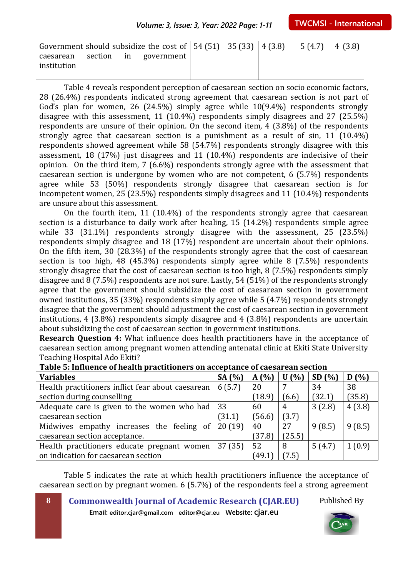|                          |  | Government should subsidize the cost of $\vert 54(51) \vert 35(33) \vert 4(3.8) \vert 5(4.7) \vert 4(3.8)$ |  |  |  |
|--------------------------|--|------------------------------------------------------------------------------------------------------------|--|--|--|
| caesarean<br>institution |  | section in government!                                                                                     |  |  |  |

Table 4 reveals respondent perception of caesarean section on socio economic factors, 28 (26.4%) respondents indicated strong agreement that caesarean section is not part of God's plan for women, 26 (24.5%) simply agree while 10(9.4%) respondents strongly disagree with this assessment, 11 (10.4%) respondents simply disagrees and 27 (25.5%) respondents are unsure of their opinion. On the second item, 4 (3.8%) of the respondents strongly agree that caesarean section is a punishment as a result of sin, 11 (10.4%) respondents showed agreement while 58 (54.7%) respondents strongly disagree with this assessment, 18 (17%) just disagrees and 11 (10.4%) respondents are indecisive of their opinion. On the third item, 7 (6.6%) respondents strongly agree with the assessment that caesarean section is undergone by women who are not competent, 6 (5.7%) respondents agree while 53 (50%) respondents strongly disagree that caesarean section is for incompetent women, 25 (23.5%) respondents simply disagrees and 11 (10.4%) respondents are unsure about this assessment.

On the fourth item, 11 (10.4%) of the respondents strongly agree that caesarean section is a disturbance to daily work after healing, 15 (14.2%) respondents simple agree while 33 (31.1%) respondents strongly disagree with the assessment, 25 (23.5%) respondents simply disagree and 18 (17%) respondent are uncertain about their opinions. On the fifth item, 30 (28.3%) of the respondents strongly agree that the cost of caesarean section is too high, 48 (45.3%) respondents simply agree while 8 (7.5%) respondents strongly disagree that the cost of caesarean section is too high, 8 (7.5%) respondents simply disagree and 8 (7.5%) respondents are not sure. Lastly, 54 (51%) of the respondents strongly agree that the government should subsidize the cost of caesarean section in government owned institutions, 35 (33%) respondents simply agree while 5 (4.7%) respondents strongly disagree that the government should adjustment the cost of caesarean section in government institutions, 4 (3.8%) respondents simply disagree and 4 (3.8%) respondents are uncertain about subsidizing the cost of caesarean section in government institutions.

**Research Question 4:** What influence does health practitioners have in the acceptance of caesarean section among pregnant women attending antenatal clinic at Ekiti State University Teaching Hospital Ado Ekiti?

| <b>Variables</b>                                       | SA $(% )$ | A(%)   | U(%)        | SD(%)  | D(%)   |
|--------------------------------------------------------|-----------|--------|-------------|--------|--------|
| Health practitioners inflict fear about caesarean      | 6(5.7)    | 20     |             | 34     | 38     |
| section during counselling                             |           | (18.9) | (6.6)       | (32.1) | (35.8) |
| Adequate care is given to the women who had $\vert$ 33 |           | 60     | 4           | 3(2.8) | 4(3.8) |
| caesarean section                                      | (31.1)    | (56.6) | (3.7)       |        |        |
| Midwives empathy increases the feeling of              | 20(19)    | 40     | 27          | 9(8.5) | 9(8.5) |
| caesarean section acceptance.                          |           | (37.8) | (25.5)      |        |        |
| Health practitioners educate pregnant women            | 37(35)    | 52     | 8           | 5(4.7) | 1(0.9) |
| on indication for caesarean section                    |           | (49.1  | $7.5^\circ$ |        |        |

#### **Table 5: Influence of health practitioners on acceptance of caesarean section**

Table 5 indicates the rate at which health practitioners influence the acceptance of caesarean section by pregnant women. 6 (5.7%) of the respondents feel a strong agreement

**8 Commonwealth Journal of Academic Research (CJAR.EU)**

**Email: editor.cjar@gmail.com editor@cjar.eu Website: cjar.eu**

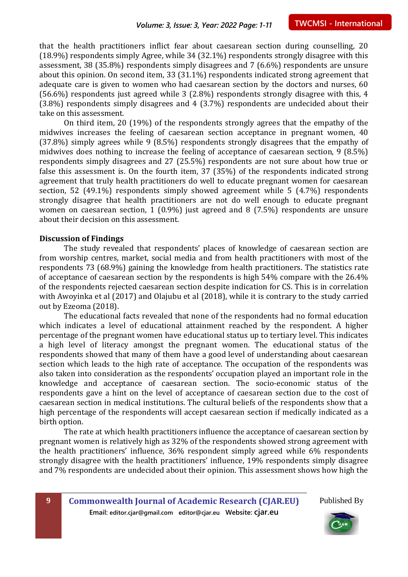that the health practitioners inflict fear about caesarean section during counselling, 20 (18.9%) respondents simply Agree, while 34 (32.1%) respondents strongly disagree with this assessment, 38 (35.8%) respondents simply disagrees and 7 (6.6%) respondents are unsure about this opinion. On second item, 33 (31.1%) respondents indicated strong agreement that adequate care is given to women who had caesarean section by the doctors and nurses, 60 (56.6%) respondents just agreed while 3 (2.8%) respondents strongly disagree with this, 4 (3.8%) respondents simply disagrees and 4 (3.7%) respondents are undecided about their take on this assessment.

On third item, 20 (19%) of the respondents strongly agrees that the empathy of the midwives increases the feeling of caesarean section acceptance in pregnant women, 40 (37.8%) simply agrees while 9 (8.5%) respondents strongly disagrees that the empathy of midwives does nothing to increase the feeling of acceptance of caesarean section, 9 (8.5%) respondents simply disagrees and 27 (25.5%) respondents are not sure about how true or false this assessment is. On the fourth item, 37 (35%) of the respondents indicated strong agreement that truly health practitioners do well to educate pregnant women for caesarean section, 52 (49.1%) respondents simply showed agreement while 5 (4.7%) respondents strongly disagree that health practitioners are not do well enough to educate pregnant women on caesarean section, 1 (0.9%) just agreed and 8 (7.5%) respondents are unsure about their decision on this assessment.

#### **Discussion of Findings**

The study revealed that respondents' places of knowledge of caesarean section are from worship centres, market, social media and from health practitioners with most of the respondents 73 (68.9%) gaining the knowledge from health practitioners. The statistics rate of acceptance of caesarean section by the respondents is high 54% compare with the 26.4% of the respondents rejected caesarean section despite indication for CS. This is in correlation with Awoyinka et al (2017) and Olajubu et al (2018), while it is contrary to the study carried out by Ezeoma (2018).

The educational facts revealed that none of the respondents had no formal education which indicates a level of educational attainment reached by the respondent. A higher percentage of the pregnant women have educational status up to tertiary level. This indicates a high level of literacy amongst the pregnant women. The educational status of the respondents showed that many of them have a good level of understanding about caesarean section which leads to the high rate of acceptance. The occupation of the respondents was also taken into consideration as the respondents' occupation played an important role in the knowledge and acceptance of caesarean section. The socio-economic status of the respondents gave a hint on the level of acceptance of caesarean section due to the cost of caesarean section in medical institutions. The cultural beliefs of the respondents show that a high percentage of the respondents will accept caesarean section if medically indicated as a birth option.

The rate at which health practitioners influence the acceptance of caesarean section by pregnant women is relatively high as 32% of the respondents showed strong agreement with the health practitioners' influence, 36% respondent simply agreed while 6% respondents strongly disagree with the health practitioners' influence, 19% respondents simply disagree and 7% respondents are undecided about their opinion. This assessment shows how high the

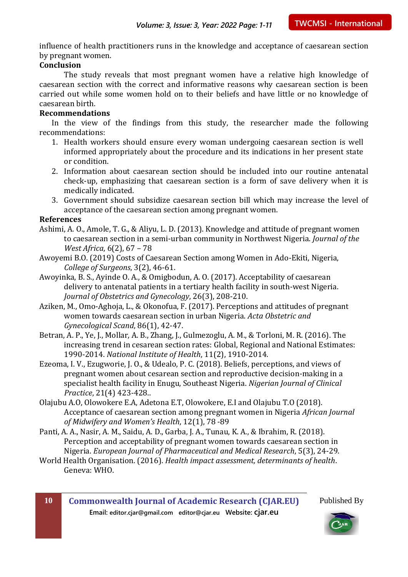influence of health practitioners runs in the knowledge and acceptance of caesarean section by pregnant women.

#### **Conclusion**

The study reveals that most pregnant women have a relative high knowledge of caesarean section with the correct and informative reasons why caesarean section is been carried out while some women hold on to their beliefs and have little or no knowledge of caesarean birth.

#### **Recommendations**

In the view of the findings from this study, the researcher made the following recommendations:

- 1. Health workers should ensure every woman undergoing caesarean section is well informed appropriately about the procedure and its indications in her present state or condition.
- 2. Information about caesarean section should be included into our routine antenatal check-up, emphasizing that caesarean section is a form of save delivery when it is medically indicated.
- 3. Government should subsidize caesarean section bill which may increase the level of acceptance of the caesarean section among pregnant women.

#### **References**

- Ashimi, A. O., Amole, T. G., & Aliyu, L. D. (2013). Knowledge and attitude of pregnant women to caesarean section in a semi-urban community in Northwest Nigeria. *Journal of the West Africa*, 6(2), 67 – 78
- Awoyemi B.O. (2019) Costs of Caesarean Section among Women in Ado-Ekiti, Nigeria, *College of Surgeons*, 3(2), 46-61.
- Awoyinka, B. S., Ayinde O. A., & Omigbodun, A. O. (2017). Acceptability of caesarean delivery to antenatal patients in a tertiary health facility in south-west Nigeria. *Journal of Obstetrics and Gynecology*, 26(3), 208-210.
- Aziken, M., Omo-Aghoja, L., & Okonofua, F. (2017). Perceptions and attitudes of pregnant women towards caesarean section in urban Nigeria. *Acta Obstetric and Gynecological Scand*, 86(1), 42-47.
- Betran, A. P., Ye, J., Mollar, A. B., Zhang, J., Gulmezoglu, A. M., & Torloni, M. R. (2016). The increasing trend in cesarean section rates: Global, Regional and National Estimates: 1990-2014. *National Institute of Health*, 11(2), 1910-2014.
- Ezeoma, I. V., Ezugworie, J. O., & Udealo, P. C. (2018). Beliefs, perceptions, and views of pregnant women about cesarean section and reproductive decision-making in a specialist health facility in Enugu, Southeast Nigeria. *Nigerian Journal of Clinical Practice*, 21(4) 423-428..
- Olajubu A.O, Olowokere E.A, Adetona E.T, Olowokere, E.I and Olajubu T.O (2018). Acceptance of caesarean section among pregnant women in Nigeria *African Journal of Midwifery and Women's Health*, 12(1), 78 -89
- Panti, A. A., Nasir, A. M., Saidu, A. D., Garba, J. A., Tunau, K. A., & Ibrahim, R. (2018). Perception and acceptability of pregnant women towards caesarean section in Nigeria. *European Journal of Pharmaceutical and Medical Research*, 5(3), 24-29.
- World Health Organisation. (2016). *Health impact assessment, determinants of health*. Geneva: WHO.

**10 Commonwealth Journal of Academic Research (CJAR.EU) Email: editor.cjar@gmail.com editor@cjar.eu Website: cjar.eu**